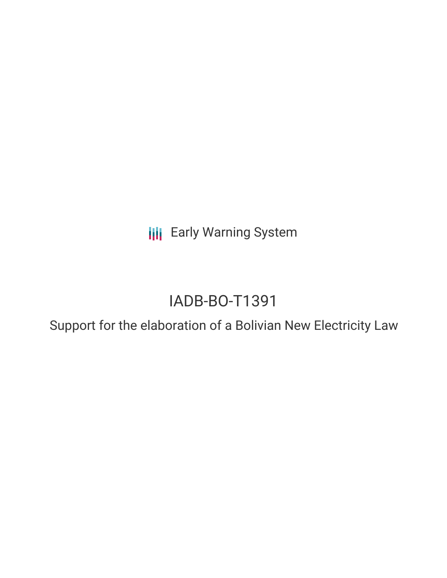**III** Early Warning System

# IADB-BO-T1391

Support for the elaboration of a Bolivian New Electricity Law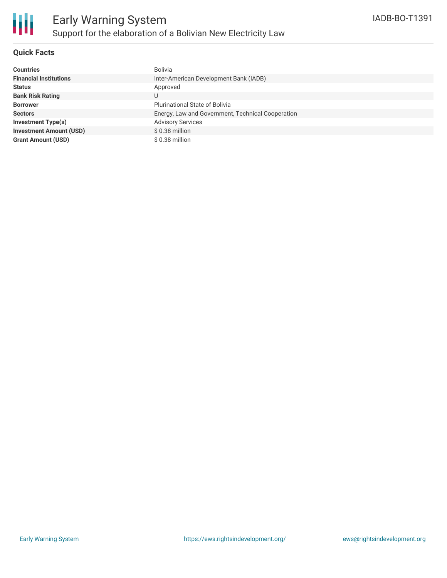

## **Quick Facts**

| <b>Countries</b>               | Bolivia                                           |
|--------------------------------|---------------------------------------------------|
| <b>Financial Institutions</b>  | Inter-American Development Bank (IADB)            |
| <b>Status</b>                  | Approved                                          |
| <b>Bank Risk Rating</b>        | U                                                 |
| <b>Borrower</b>                | <b>Plurinational State of Bolivia</b>             |
| <b>Sectors</b>                 | Energy, Law and Government, Technical Cooperation |
| <b>Investment Type(s)</b>      | <b>Advisory Services</b>                          |
| <b>Investment Amount (USD)</b> | $$0.38$ million                                   |
| <b>Grant Amount (USD)</b>      | \$0.38 million                                    |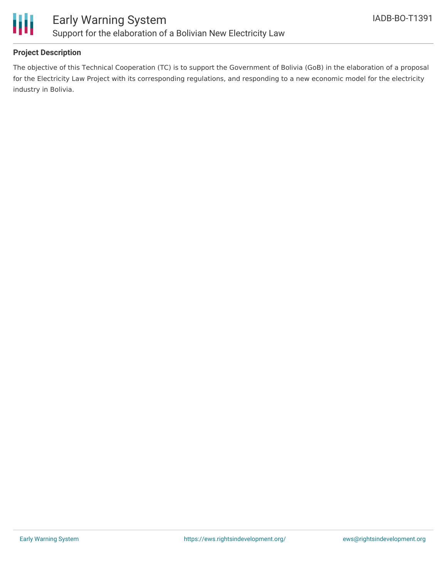

## **Project Description**

The objective of this Technical Cooperation (TC) is to support the Government of Bolivia (GoB) in the elaboration of a proposal for the Electricity Law Project with its corresponding regulations, and responding to a new economic model for the electricity industry in Bolivia.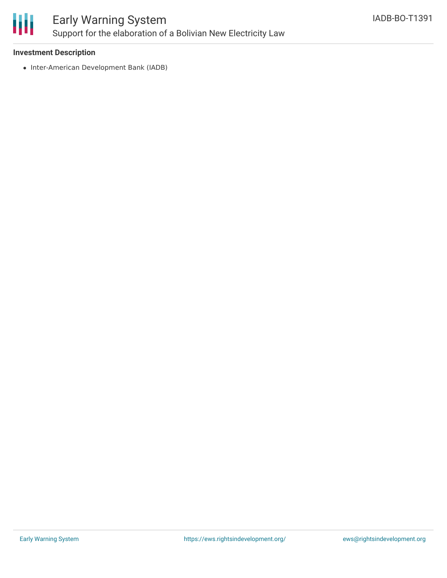

#### **Investment Description**

• Inter-American Development Bank (IADB)